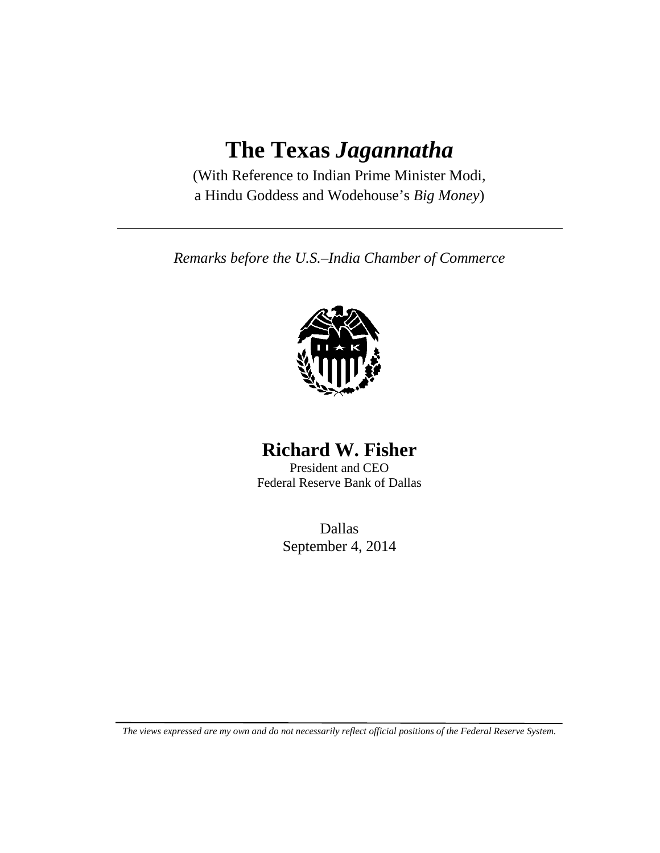## **The Texas** *Jagannatha*

(With Reference to Indian Prime Minister Modi, a Hindu Goddess and Wodehouse's *Big Money*)

*Remarks before the U.S.–India Chamber of Commerce*



## **Richard W. Fisher**

President and CEO Federal Reserve Bank of Dallas

> Dallas September 4, 2014

*The views expressed are my own and do not necessarily reflect official positions of the Federal Reserve System.*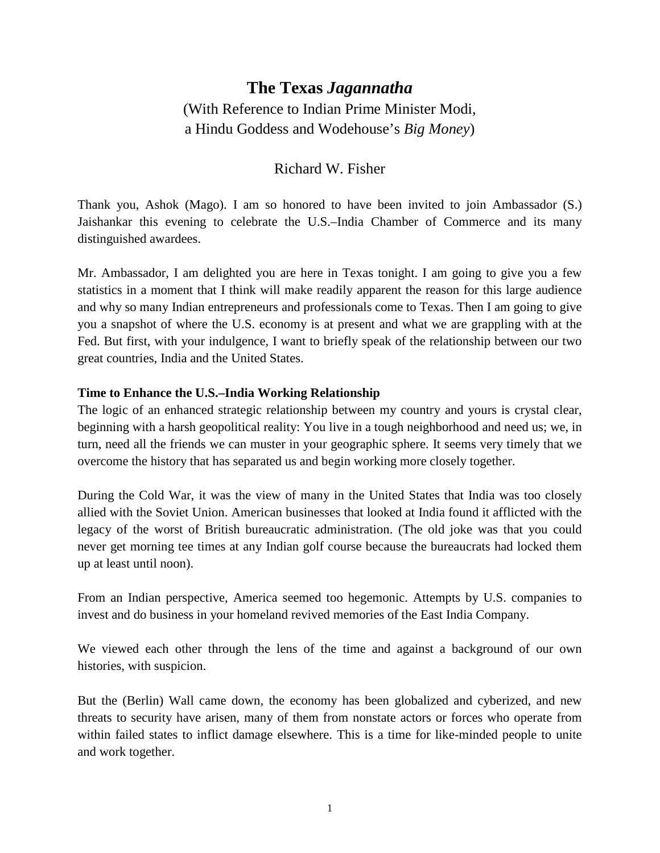### **The Texas** *Jagannatha* (With Reference to Indian Prime Minister Modi, a Hindu Goddess and Wodehouse's *Big Money*)

#### Richard W. Fisher

Thank you, Ashok (Mago). I am so honored to have been invited to join Ambassador (S.) Jaishankar this evening to celebrate the U.S.–India Chamber of Commerce and its many distinguished awardees.

Mr. Ambassador, I am delighted you are here in Texas tonight. I am going to give you a few statistics in a moment that I think will make readily apparent the reason for this large audience and why so many Indian entrepreneurs and professionals come to Texas. Then I am going to give you a snapshot of where the U.S. economy is at present and what we are grappling with at the Fed. But first, with your indulgence, I want to briefly speak of the relationship between our two great countries, India and the United States.

#### **Time to Enhance the U.S.–India Working Relationship**

The logic of an enhanced strategic relationship between my country and yours is crystal clear, beginning with a harsh geopolitical reality: You live in a tough neighborhood and need us; we, in turn, need all the friends we can muster in your geographic sphere. It seems very timely that we overcome the history that has separated us and begin working more closely together.

During the Cold War, it was the view of many in the United States that India was too closely allied with the Soviet Union. American businesses that looked at India found it afflicted with the legacy of the worst of British bureaucratic administration. (The old joke was that you could never get morning tee times at any Indian golf course because the bureaucrats had locked them up at least until noon).

From an Indian perspective, America seemed too hegemonic. Attempts by U.S. companies to invest and do business in your homeland revived memories of the East India Company.

We viewed each other through the lens of the time and against a background of our own histories, with suspicion.

But the (Berlin) Wall came down, the economy has been globalized and cyberized, and new threats to security have arisen, many of them from nonstate actors or forces who operate from within failed states to inflict damage elsewhere. This is a time for like-minded people to unite and work together.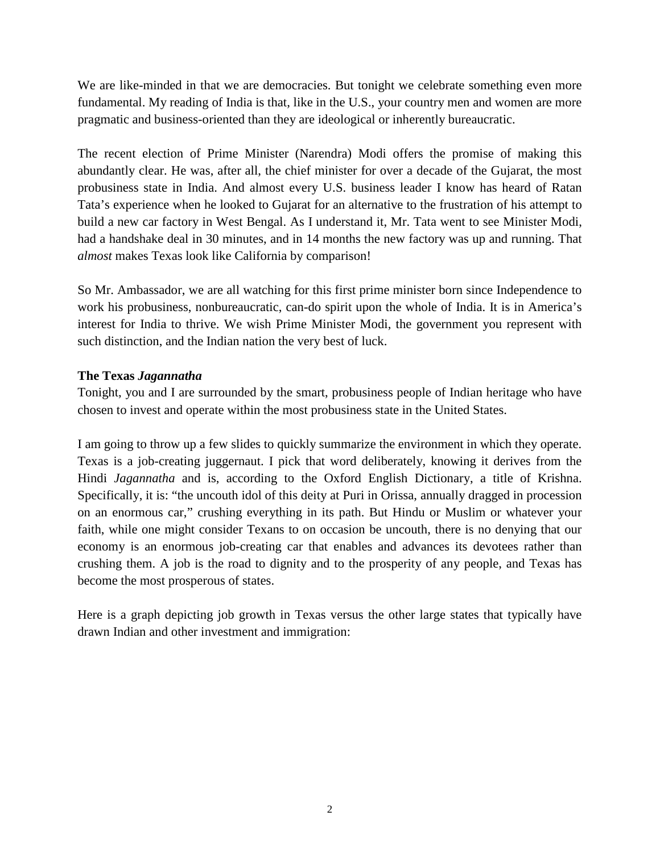We are like-minded in that we are democracies. But tonight we celebrate something even more fundamental. My reading of India is that, like in the U.S., your country men and women are more pragmatic and business-oriented than they are ideological or inherently bureaucratic.

The recent election of Prime Minister (Narendra) Modi offers the promise of making this abundantly clear. He was, after all, the chief minister for over a decade of the Gujarat, the most probusiness state in India. And almost every U.S. business leader I know has heard of Ratan Tata's experience when he looked to Gujarat for an alternative to the frustration of his attempt to build a new car factory in West Bengal. As I understand it, Mr. Tata went to see Minister Modi, had a handshake deal in 30 minutes, and in 14 months the new factory was up and running. That *almost* makes Texas look like California by comparison!

So Mr. Ambassador, we are all watching for this first prime minister born since Independence to work his probusiness, nonbureaucratic, can-do spirit upon the whole of India. It is in America's interest for India to thrive. We wish Prime Minister Modi, the government you represent with such distinction, and the Indian nation the very best of luck.

#### **The Texas** *Jagannatha*

Tonight, you and I are surrounded by the smart, probusiness people of Indian heritage who have chosen to invest and operate within the most probusiness state in the United States.

I am going to throw up a few slides to quickly summarize the environment in which they operate. Texas is a job-creating juggernaut. I pick that word deliberately, knowing it derives from the Hindi *Jagannatha* and is, according to the Oxford English Dictionary, a title of Krishna. Specifically, it is: "the uncouth idol of this deity at Puri in Orissa, annually dragged in procession on an enormous car," crushing everything in its path. But Hindu or Muslim or whatever your faith, while one might consider Texans to on occasion be uncouth, there is no denying that our economy is an enormous job-creating car that enables and advances its devotees rather than crushing them. A job is the road to dignity and to the prosperity of any people, and Texas has become the most prosperous of states.

Here is a graph depicting job growth in Texas versus the other large states that typically have drawn Indian and other investment and immigration: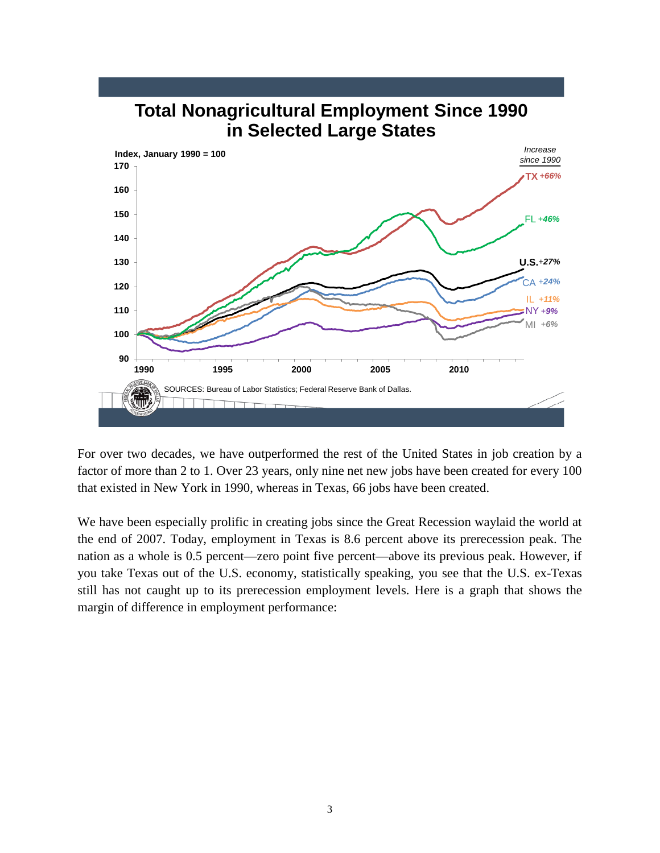

# **Total Nonagricultural Employment Since 1990**

For over two decades, we have outperformed the rest of the United States in job creation by a factor of more than 2 to 1. Over 23 years, only nine net new jobs have been created for every 100 that existed in New York in 1990, whereas in Texas, 66 jobs have been created.

We have been especially prolific in creating jobs since the Great Recession waylaid the world at the end of 2007. Today, employment in Texas is 8.6 percent above its prerecession peak. The nation as a whole is 0.5 percent—zero point five percent—above its previous peak. However, if you take Texas out of the U.S. economy, statistically speaking, you see that the U.S. ex-Texas still has not caught up to its prerecession employment levels. Here is a graph that shows the margin of difference in employment performance: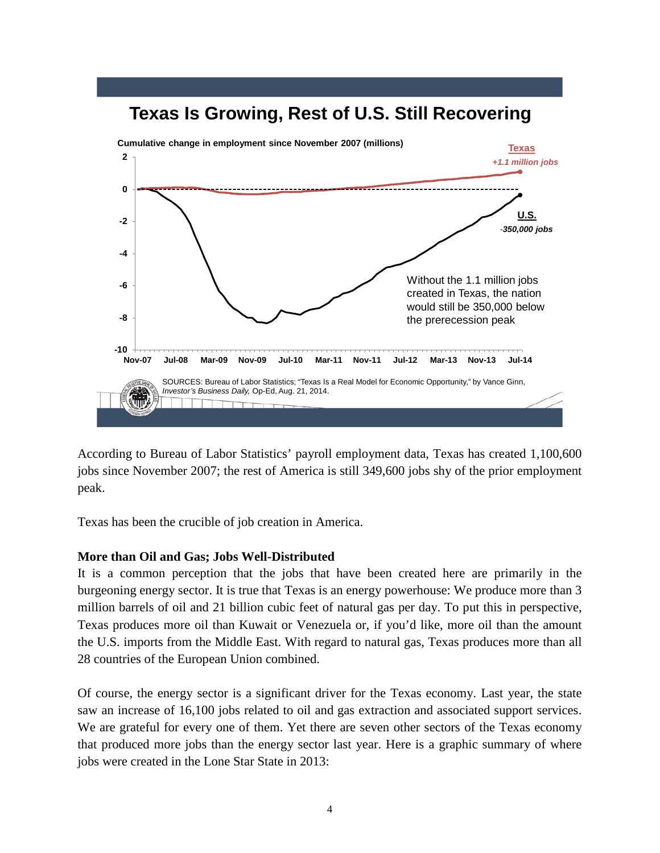

According to Bureau of Labor Statistics' payroll employment data, Texas has created 1,100,600 jobs since November 2007; the rest of America is still 349,600 jobs shy of the prior employment peak.

Texas has been the crucible of job creation in America.

#### **More than Oil and Gas; Jobs Well-Distributed**

It is a common perception that the jobs that have been created here are primarily in the burgeoning energy sector. It is true that Texas is an energy powerhouse: We produce more than 3 million barrels of oil and 21 billion cubic feet of natural gas per day. To put this in perspective, Texas produces more oil than Kuwait or Venezuela or, if you'd like, more oil than the amount the U.S. imports from the Middle East. With regard to natural gas, Texas produces more than all 28 countries of the European Union combined.

Of course, the energy sector is a significant driver for the Texas economy. Last year, the state saw an increase of 16,100 jobs related to oil and gas extraction and associated support services. We are grateful for every one of them. Yet there are seven other sectors of the Texas economy that produced more jobs than the energy sector last year. Here is a graphic summary of where jobs were created in the Lone Star State in 2013: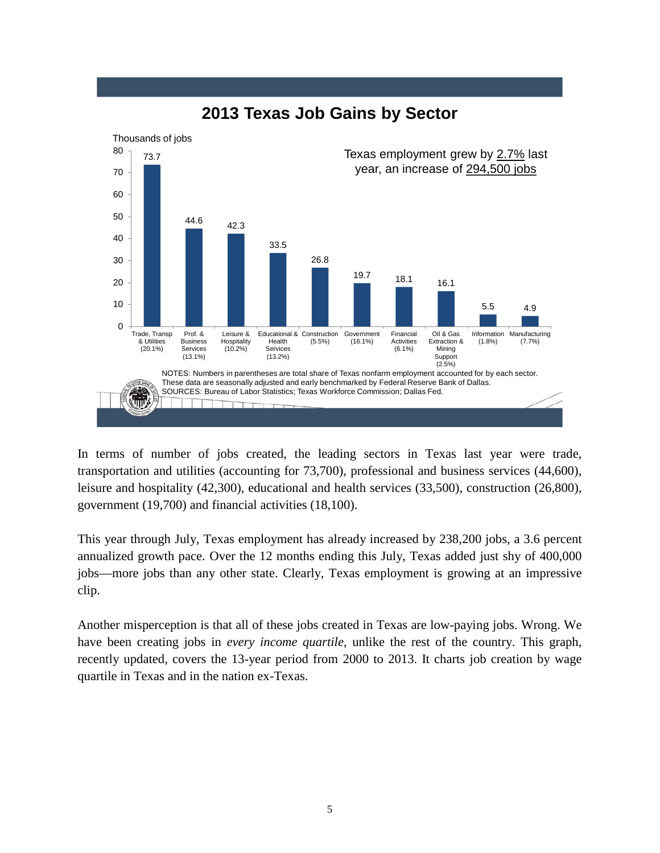

## **2013 Texas Job Gains by Sector**

In terms of number of jobs created, the leading sectors in Texas last year were trade, transportation and utilities (accounting for 73,700), professional and business services (44,600), leisure and hospitality (42,300), educational and health services (33,500), construction (26,800), government (19,700) and financial activities (18,100).

This year through July, Texas employment has already increased by 238,200 jobs, a 3.6 percent annualized growth pace. Over the 12 months ending this July, Texas added just shy of 400,000 jobs—more jobs than any other state. Clearly, Texas employment is growing at an impressive clip.

Another misperception is that all of these jobs created in Texas are low-paying jobs. Wrong. We have been creating jobs in *every income quartile*, unlike the rest of the country. This graph, recently updated, covers the 13-year period from 2000 to 2013. It charts job creation by wage quartile in Texas and in the nation ex-Texas.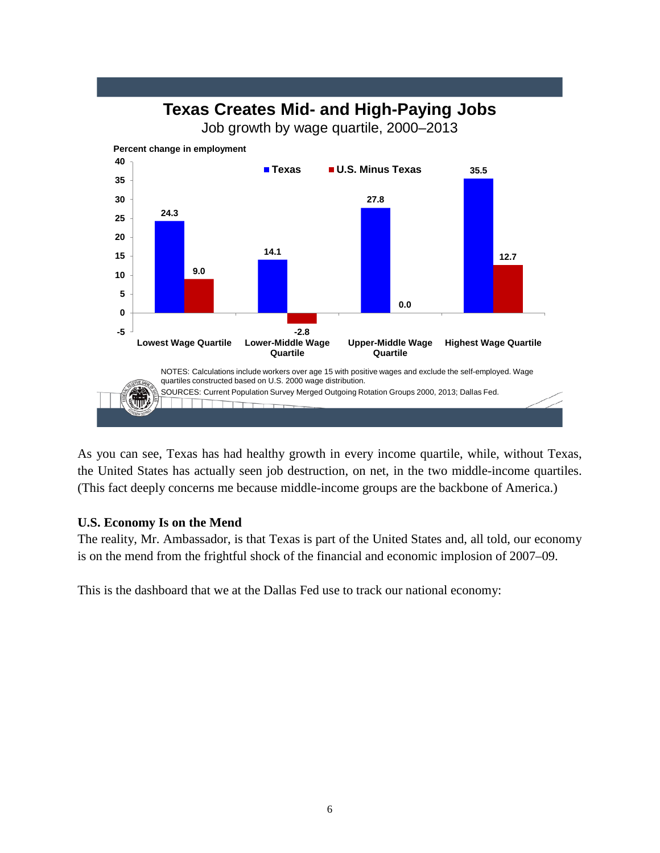## **Texas Creates Mid- and High-Paying Jobs**

Job growth by wage quartile, 2000–2013



As you can see, Texas has had healthy growth in every income quartile, while, without Texas, the United States has actually seen job destruction, on net, in the two middle-income quartiles. (This fact deeply concerns me because middle-income groups are the backbone of America.)

#### **U.S. Economy Is on the Mend**

The reality, Mr. Ambassador, is that Texas is part of the United States and, all told, our economy is on the mend from the frightful shock of the financial and economic implosion of 2007–09.

This is the dashboard that we at the Dallas Fed use to track our national economy: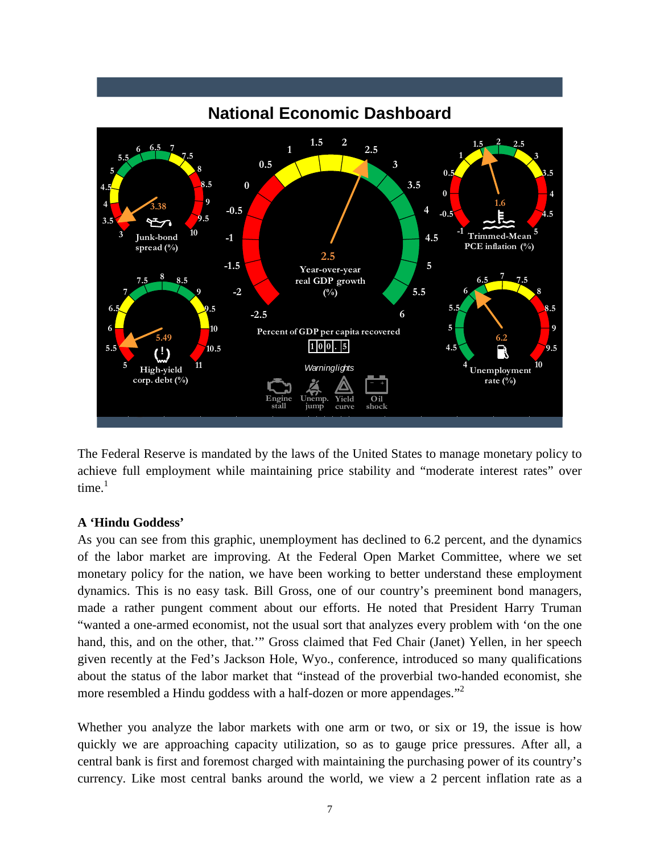

The Federal Reserve is mandated by the laws of the United States to manage monetary policy to achieve full employment while maintaining price stability and "moderate interest rates" over time. $1$ 

#### **A 'Hindu Goddess'**

As you can see from this graphic, unemployment has declined to 6.2 percent, and the dynamics of the labor market are improving. At the Federal Open Market Committee, where we set monetary policy for the nation, we have been working to better understand these employment dynamics. This is no easy task. Bill Gross, one of our country's preeminent bond managers, made a rather pungent comment about our efforts. He noted that President Harry Truman "wanted a one-armed economist, not the usual sort that analyzes every problem with 'on the one hand, this, and on the other, that.'" Gross claimed that Fed Chair (Janet) Yellen, in her speech given recently at the Fed's Jackson Hole, Wyo., conference, introduced so many qualifications about the status of the labor market that "instead of the proverbial two-handed economist, she more resembled a Hindu goddess with a half-dozen or more appendages."<sup>2</sup>

Whether you analyze the labor markets with one arm or two, or six or 19, the issue is how quickly we are approaching capacity utilization, so as to gauge price pressures. After all, a central bank is first and foremost charged with maintaining the purchasing power of its country's currency. Like most central banks around the world, we view a 2 percent inflation rate as a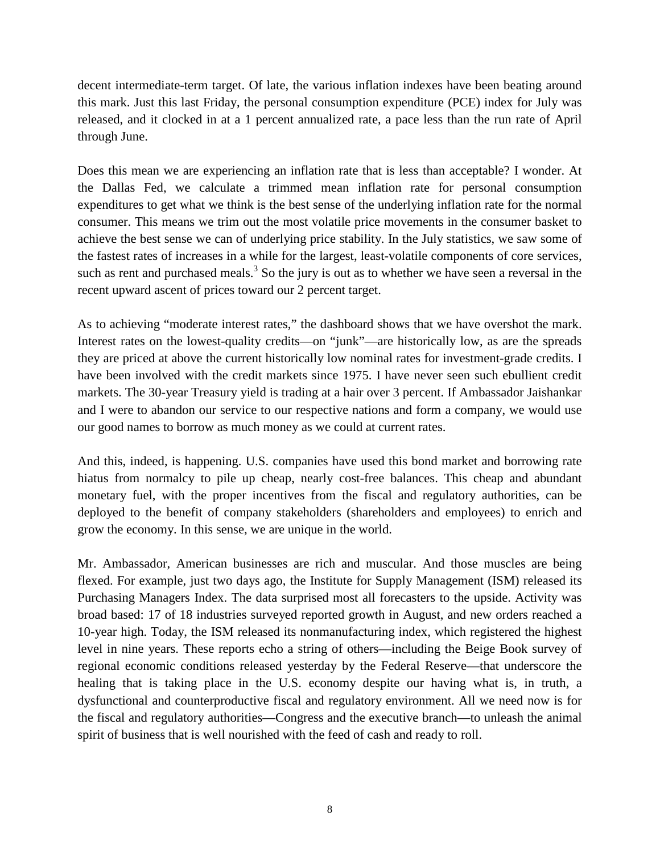decent intermediate-term target. Of late, the various inflation indexes have been beating around this mark. Just this last Friday, the personal consumption expenditure (PCE) index for July was released, and it clocked in at a 1 percent annualized rate, a pace less than the run rate of April through June.

Does this mean we are experiencing an inflation rate that is less than acceptable? I wonder. At the Dallas Fed, we calculate a trimmed mean inflation rate for personal consumption expenditures to get what we think is the best sense of the underlying inflation rate for the normal consumer. This means we trim out the most volatile price movements in the consumer basket to achieve the best sense we can of underlying price stability. In the July statistics, we saw some of the fastest rates of increases in a while for the largest, least-volatile components of core services, such as rent and purchased meals.<sup>3</sup> So the jury is out as to whether we have seen a reversal in the recent upward ascent of prices toward our 2 percent target.

As to achieving "moderate interest rates," the dashboard shows that we have overshot the mark. Interest rates on the lowest-quality credits—on "junk"—are historically low, as are the spreads they are priced at above the current historically low nominal rates for investment-grade credits. I have been involved with the credit markets since 1975. I have never seen such ebullient credit markets. The 30-year Treasury yield is trading at a hair over 3 percent. If Ambassador Jaishankar and I were to abandon our service to our respective nations and form a company, we would use our good names to borrow as much money as we could at current rates.

And this, indeed, is happening. U.S. companies have used this bond market and borrowing rate hiatus from normalcy to pile up cheap, nearly cost-free balances. This cheap and abundant monetary fuel, with the proper incentives from the fiscal and regulatory authorities, can be deployed to the benefit of company stakeholders (shareholders and employees) to enrich and grow the economy. In this sense, we are unique in the world.

Mr. Ambassador, American businesses are rich and muscular. And those muscles are being flexed. For example, just two days ago, the Institute for Supply Management (ISM) released its Purchasing Managers Index. The data surprised most all forecasters to the upside. Activity was broad based: 17 of 18 industries surveyed reported growth in August, and new orders reached a 10-year high. Today, the ISM released its nonmanufacturing index, which registered the highest level in nine years. These reports echo a string of others—including the Beige Book survey of regional economic conditions released yesterday by the Federal Reserve—that underscore the healing that is taking place in the U.S. economy despite our having what is, in truth, a dysfunctional and counterproductive fiscal and regulatory environment. All we need now is for the fiscal and regulatory authorities—Congress and the executive branch—to unleash the animal spirit of business that is well nourished with the feed of cash and ready to roll.